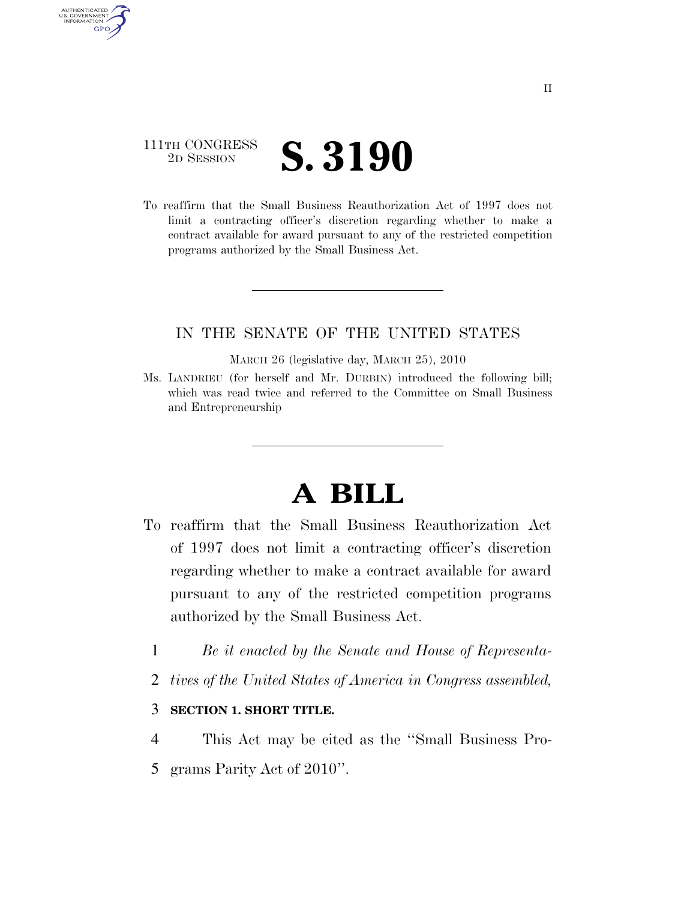## 111TH CONGRESS <sup>2D SESSION</sup> **S. 3190**

AUTHENTICATED U.S. GOVERNMENT **GPO** 

> To reaffirm that the Small Business Reauthorization Act of 1997 does not limit a contracting officer's discretion regarding whether to make a contract available for award pursuant to any of the restricted competition programs authorized by the Small Business Act.

## IN THE SENATE OF THE UNITED STATES

MARCH 26 (legislative day, MARCH 25), 2010

Ms. LANDRIEU (for herself and Mr. DURBIN) introduced the following bill; which was read twice and referred to the Committee on Small Business and Entrepreneurship

## **A BILL**

- To reaffirm that the Small Business Reauthorization Act of 1997 does not limit a contracting officer's discretion regarding whether to make a contract available for award pursuant to any of the restricted competition programs authorized by the Small Business Act.
	- 1 *Be it enacted by the Senate and House of Representa-*
	- 2 *tives of the United States of America in Congress assembled,*

## 3 **SECTION 1. SHORT TITLE.**

- 4 This Act may be cited as the ''Small Business Pro-
- 5 grams Parity Act of 2010''.